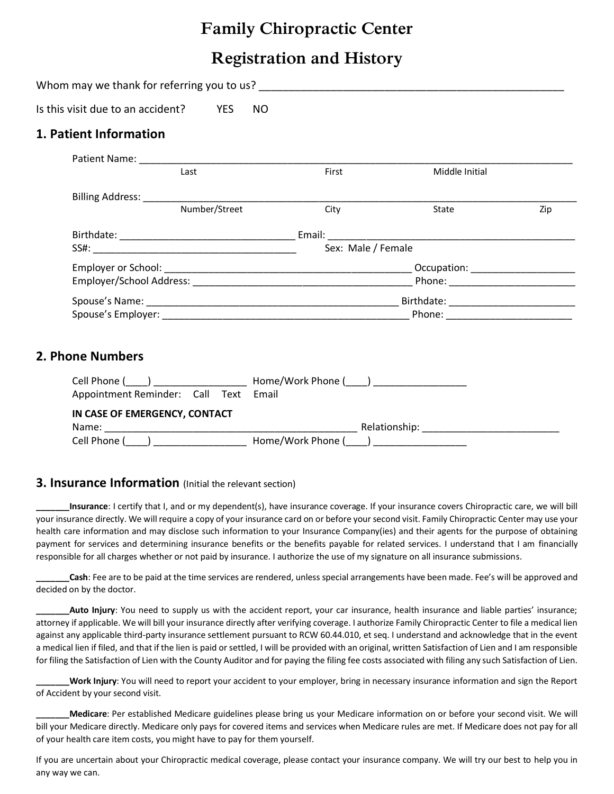## **Family Chiropractic Center**

# **Registration and History**

| Is this visit due to an accident?<br><b>YES</b>                                                                    | NO.                     |     |  |  |  |  |
|--------------------------------------------------------------------------------------------------------------------|-------------------------|-----|--|--|--|--|
| 1. Patient Information                                                                                             |                         |     |  |  |  |  |
| Last                                                                                                               | First<br>Middle Initial |     |  |  |  |  |
| Number/Street                                                                                                      | City<br>State           | Zip |  |  |  |  |
|                                                                                                                    |                         |     |  |  |  |  |
|                                                                                                                    | Sex: Male / Female      |     |  |  |  |  |
|                                                                                                                    |                         |     |  |  |  |  |
|                                                                                                                    |                         |     |  |  |  |  |
| 2. Phone Numbers                                                                                                   |                         |     |  |  |  |  |
| Appointment Reminder: Call Text                                                                                    | Email                   |     |  |  |  |  |
| IN CASE OF EMERGENCY, CONTACT<br>Cell Phone (____) __________________________ Home/Work Phone (____) _____________ |                         |     |  |  |  |  |

#### **3. Insurance Information** (Initial the relevant section)

**\_\_\_\_\_\_\_Insurance**: I certify that I, and or my dependent(s), have insurance coverage. If your insurance covers Chiropractic care, we will bill your insurance directly. We will require a copy of your insurance card on or before your second visit. Family Chiropractic Center may use your health care information and may disclose such information to your Insurance Company(ies) and their agents for the purpose of obtaining payment for services and determining insurance benefits or the benefits payable for related services. I understand that I am financially responsible for all charges whether or not paid by insurance. I authorize the use of my signature on all insurance submissions.

Cash: Fee are to be paid at the time services are rendered, unless special arrangements have been made. Fee's will be approved and decided on by the doctor.

**\_\_\_\_\_\_\_Auto Injury**: You need to supply us with the accident report, your car insurance, health insurance and liable parties' insurance; attorney if applicable. We will bill your insurance directly after verifying coverage. I authorize Family Chiropractic Center to file a medical lien against any applicable third-party insurance settlement pursuant to RCW 60.44.010, et seq. I understand and acknowledge that in the event a medical lien if filed, and that if the lien is paid or settled, I will be provided with an original, written Satisfaction of Lien and I am responsible for filing the Satisfaction of Lien with the County Auditor and for paying the filing fee costs associated with filing any such Satisfaction of Lien.

**\_\_\_\_\_\_\_Work Injury**: You will need to report your accident to your employer, bring in necessary insurance information and sign the Report of Accident by your second visit.

**\_\_\_\_\_\_\_Medicare**: Per established Medicare guidelines please bring us your Medicare information on or before your second visit. We will bill your Medicare directly. Medicare only pays for covered items and services when Medicare rules are met. If Medicare does not pay for all of your health care item costs, you might have to pay for them yourself.

If you are uncertain about your Chiropractic medical coverage, please contact your insurance company. We will try our best to help you in any way we can.